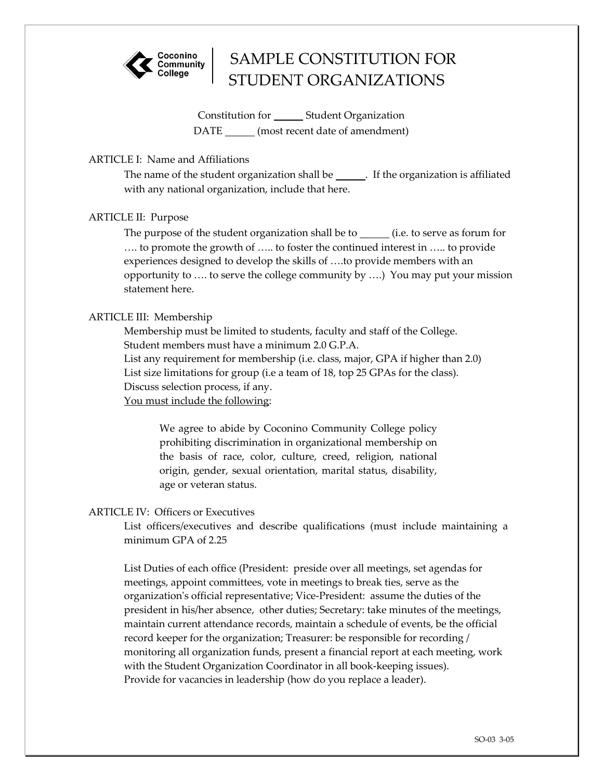

# SAMPLE CONSTITUTION FOR STUDENT ORGANIZATIONS

Constitution for \_\_\_\_\_\_\_\_ Student Organization DATE (most recent date of amendment)

# ARTICLE I: Name and Affiliations

The name of the student organization shall be. If the organization is affiliated with any national organization, include that here.

# ARTICLE II: Purpose

The purpose of the student organization shall be to  $\quad$  (i.e. to serve as forum for …. to promote the growth of ….. to foster the continued interest in ….. to provide experiences designed to develop the skills of ….to provide members with an opportunity to …. to serve the college community by ….) You may put your mission statement here.

## ARTICLE III: Membership

Membership must be limited to students, faculty and staff of the College. Student members must have a minimum 2.0 G.P.A. List any requirement for membership (i.e. class, major, GPA if higher than 2.0)

List size limitations for group (i.e a team of 18, top 25 GPAs for the class). Discuss selection process, if any.

You must include the following:

We agree to abide by Coconino Community College policy prohibiting discrimination in organizational membership on the basis of race, color, culture, creed, religion, national origin, gender, sexual orientation, marital status, disability, age or veteran status.

### ARTICLE IV: Officers or Executives

List officers/executives and describe qualifications (must include maintaining a minimum GPA of 2.25

List Duties of each office (President: preside over all meetings, set agendas for meetings, appoint committees, vote in meetings to break ties, serve as the organization's official representative; Vice-President: assume the duties of the president in his/her absence, other duties; Secretary: take minutes of the meetings, maintain current attendance records, maintain a schedule of events, be the official record keeper for the organization; Treasurer: be responsible for recording / monitoring all organization funds, present a financial report at each meeting, work with the Student Organization Coordinator in all book-keeping issues). Provide for vacancies in leadership (how do you replace a leader).